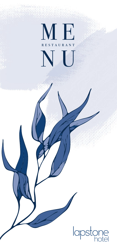# ME H  $\overline{\phantom{a}}$

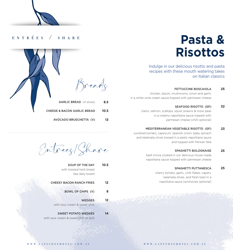# **Pasta & Risottos**

Indulge in our delicious risotto and pasta recipes with these mouth watering takes on Italian classics

> FETTUCCINE BOSCAIOLA **25**

chicken, bacon, mushrooms, onion and garlic in a white wine cream sauce topped with parmesan cheese

> SEAFOOD RISOTTO (GF) **32**

 clams, salmon, scallops, squid, prawns & snow peas in a creamy napolitana sauce topped with parmesan cheese (chilli optional)

 MEDITERRANEAN VEGETABLE RISOTTO (GF) **23**

sundried tomato, capsicum, Spanish onion, baby spinach and kalamata olives tossed in a pesto napolitana sauce and topped with Persian feta

### SPAGHETTI BOLOGNAISE **25**

beef mince cooked in our delicious house made napolitana sauce topped with parmesan cheese

### SPAGHETTI PUTTANESCA **25**

cherry tomato, garlic, chilli flakes, capers, kalamata olives, and fresh basil in a napolitana sauce (anchovies optional)

# entrées / share



AVOCADO BRUSCHETTA (V) **13**

Entrees/Share

- SOUP OF THE DAY with toasted herb bread See daily board **10.5**
- CHEESY BACON RANCH FRIES **12**
	- BOWL OF CHIPS (V) **8**

**12**

- WEDGES with sour cream & sweet chilli
- SWEET POTATO WEDGES with sour cream & sweet chilli or aioli **14**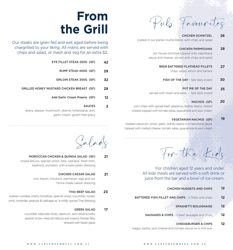Pub Favourites

# CHICKEN SCHNITZEL coated in our panko crumb blend, with chips and salad **26**

# CHICKEN PARMIGIANA **28**

our house schnitzel topped with napolitana sauce and cheese, served with chips and salad

# BEER BATTERED FLATHEAD FILLETS **27**

chips, salad, lemon and tartare

FISH OF THE DAY - See daily board **30**

# POT PIE OF THE DAY **25**

served with mash and peas - See daily board

# NACHOS (GF) **20**

corn chips with spiced beef, jalapenos, kidney beans, melted cheese topped with tomato salsa, guacamole and sour cream

# VEGETARIAN NACHOS (GF) **19**

roasted capsicum, onion, garlic, kidney beans in a napolitana sauce topped with melted cheese, tomato salsa, guacamole & sour cream

 $S^{n}$  lads<br>SALAD (GF) 21  $F^{n}$  the Kids

For children aged 12 years and under. All kids meals are served with a soft drink or juice from the bar and a bowl of ice-cream.

- CHICKEN NUGGETS AND CHIPS **12**
- BATTERED FISH FILLET AND CHIPS 2 fillets and chips **12**
	- SPAGHETTI BOLOGNAISE **12**
	- SAUSAGES & CHIPS 2 beef sausages and chips **12**

# CHEESEBURGER & CHIPS **12**

wagyu pattie, jack cheese and tomato sauce on a milk bun

# **From the Grill**

Our steaks are grain fed and wet aged before being chargrilled to your liking. All mains are served with chips and salad, or mash and veg for an extra \$2.

| 42 | EYE FILLET STEAK 250G (GF)                       |
|----|--------------------------------------------------|
| 29 | RUMP STEAK 400G (GF)                             |
| 32 | SIRLOIN STEAK 300G (GF)                          |
| 29 | <b>GRILLED HONEY MUSTARD CHICKEN BREAST (GF)</b> |
|    |                                                  |

Add Garlic Cream Prawns (GF) **12**

SAUCES

**2**

gravy, pepper, mushroom, dianne, hollandaise, aioli, garlic cream, gluten free gravy

# MOROCCAN CHICKEN & QUINOA SALAD (GF) **21**

mixed lettuce, spanish onion, feta, cashews, fresh mint, beetroot, pumpkin, with a basil pesto dressing

# CHICKEN CAESAR SALAD **21**

cos, bacon, croutons, parmesan, egg and our home-made caesar dressing

# THAI BEEF SALAD **23**

hokkien noodles, cherry tomatoes, spanish onion, cucumber, rocket, mint, coriander, peanuts & cabbage w/ a mildly spiced Thai dressing

# GREEK SALAD **17**

cucumber, kalamata olives, capsicum, semi dried tomato, spanish onion, mesculin lettuce and creamy Persian feta, dressed with Italian glaze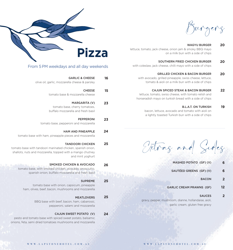Burgers

#### WAGYU BURGER **20**

lettuce, tomato, jack cheese, onion jam & smoky BBQ mayo on a milk bun with a side of chips

> SOUTHERN FRIED CHICKEN BURGER **20**

with coleslaw, jack cheese, chilli mayo with a side of chips

GRILLED CHICKEN & BACON BURGER **20**

with avocado, grilled pineapple, swiss cheese, lettuce, tomato & aioli on a milk bun with a side of chips

> CAJUN SPICED STEAK & BACON BURGER **22**

lettuce, tomato, swiss cheese, with tomato relish and horseradish mayo on turkish bread with a side of chips

#### B.L.A.T. ON TURKISH **19**

bacon, lettuce, avocado and tomato with aioli on a lightly toasted Turkish bun with a side of chips

Extras and Sides

- MASHED POTATO (GF) (V) **6**
- SAUTÉED GREENS (GF) (V) **6**
	- BACON **2**
- GARLIC CREAM PRAWNS (GF) **12**
	- SAUCES **2**

gravy, pepper, mushroom, dianne, hollandaise, aioli, garlic cream, gluten free gravy



# From 5PM weekdays and all day weekends

| 16 | <b>GARLIC &amp; CHEESE</b><br>olive oil, garlic, mozzarella cheese & parsley                                                                                             |
|----|--------------------------------------------------------------------------------------------------------------------------------------------------------------------------|
| 15 | <b>CHEESE</b><br>tomato base & mozzarella cheese                                                                                                                         |
| 23 | <b>MARGARITA (V)</b><br>tomato base, cherry tomatoes,<br>buffalo mozzarella and fresh basil                                                                              |
| 23 | <b>PEPPERONI</b><br>tomato base, pepperoni and mozzarella                                                                                                                |
| 24 | <b>HAM AND PINEAPPLE</b><br>tomato base with ham, pineapple pieces and mozzarella                                                                                        |
| 25 | <b>TANDOORI CHICKEN</b><br>tomato base with tandoori marinated chicken, spanish onion,<br>shallots, nuts and mozzarella, topped with a mango chutney<br>and mint yoghurt |

#### SMOKED CHICKEN & AVOCADO **26**

tomato base, with smoked chicken, avocado, prosciutto, spanish onion, buffalo mozzarella and fresh basil

#### SUPREME **25**

**25**

tomato base with onion, capsicum, pineapple ham, olives, beef, bacon, mushrooms and mozzarella

# MEATLOVERS

BBQ base with beef, bacon, ham, cabanossi, pepperoni, salami and mozzarella

#### CAJUN SWEET POTATO (V) **24**

pesto and tomato base with spiced sweet potato, balsamic onions, feta, semi dried tomatoes mushrooms and mozzarella